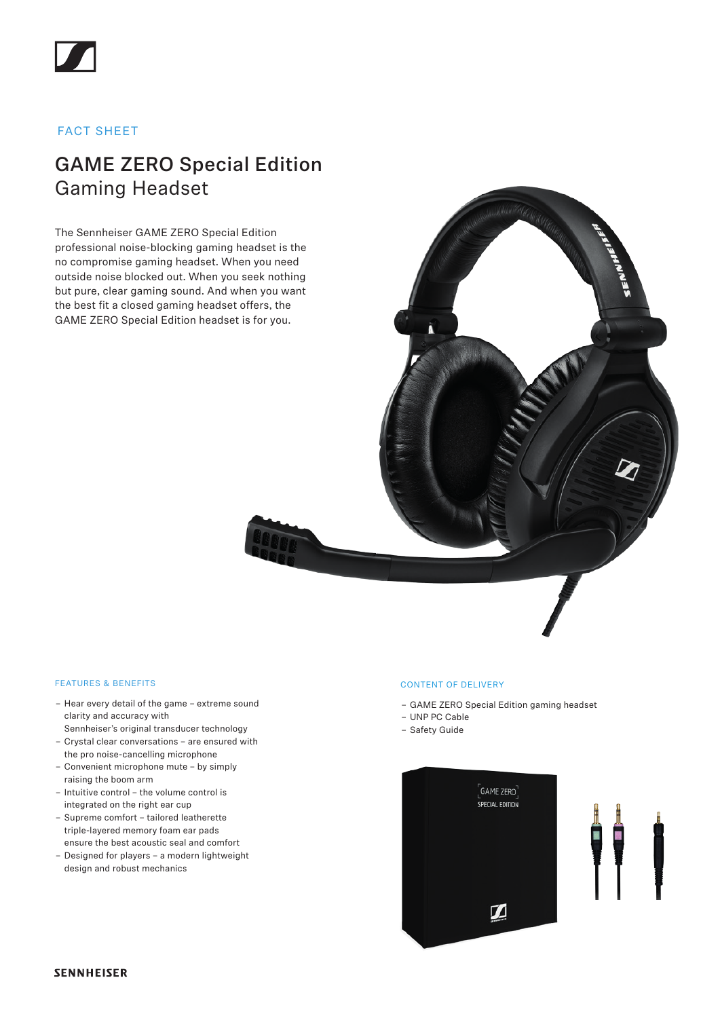## FACT SHEET

# GAME ZERO Special Edition Gaming Headset

The Sennheiser GAME ZERO Special Edition professional noise-blocking gaming headset is the no compromise gaming headset. When you need outside noise blocked out. When you seek nothing but pure, clear gaming sound. And when you want the best fit a closed gaming headset offers, the GAME ZERO Special Edition headset is for you.

### FEATURES & BENEFITS

- Hear every detail of the game extreme sound clarity and accuracy with
- Sennheiser's original transducer technology – Crystal clear conversations – are ensured with
- the pro noise-cancelling microphone – Convenient microphone mute – by simply
- raising the boom arm
- Intuitive control the volume control is integrated on the right ear cup
- Supreme comfort tailored leatherette triple-layered memory foam ear pads ensure the best acoustic seal and comfort
- Designed for players a modern lightweight design and robust mechanics

#### CONTENT OF DELIVERY

- GAME ZERO Special Edition gaming headset
- UNP PC Cable
- Safety Guide